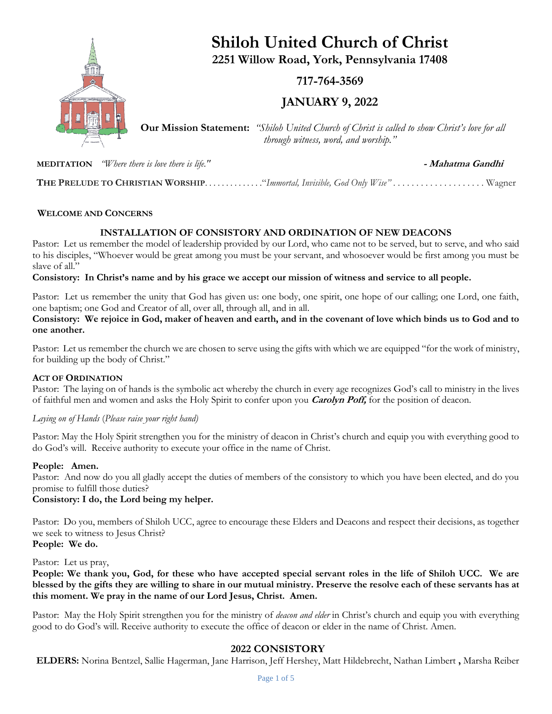

**Shiloh United Church of Christ 2251 Willow Road, York, Pennsylvania 17408**

**717-764-3569**

**JANUARY 9, 2022**

**Our Mission Statement:** *"Shiloh United Church of Christ is called to show Christ's love for all through witness, word, and worship."*

**MEDITATION** *"Where there is love there is life."* **- Mahatma Gandhi**

 **THE PRELUDE TO CHRISTIAN WORSHIP**. . . . . . . . . . . . . ."*Immortal, Invisible, God Only Wise"* . . . . . . . . . . . . . . . . . . . . Wagner

## **WELCOME AND CONCERNS**

## **INSTALLATION OF CONSISTORY AND ORDINATION OF NEW DEACONS**

Pastor: Let us remember the model of leadership provided by our Lord, who came not to be served, but to serve, and who said to his disciples, "Whoever would be great among you must be your servant, and whosoever would be first among you must be slave of all."

**Consistory: In Christ's name and by his grace we accept our mission of witness and service to all people.**

Pastor: Let us remember the unity that God has given us: one body, one spirit, one hope of our calling; one Lord, one faith, one baptism; one God and Creator of all, over all, through all, and in all.

**Consistory: We rejoice in God, maker of heaven and earth, and in the covenant of love which binds us to God and to one another.**

Pastor: Let us remember the church we are chosen to serve using the gifts with which we are equipped "for the work of ministry, for building up the body of Christ."

## **ACT OF ORDINATION**

Pastor: The laying on of hands is the symbolic act whereby the church in every age recognizes God's call to ministry in the lives of faithful men and women and asks the Holy Spirit to confer upon you **Carolyn Poff,** for the position of deacon.

#### *Laying on of Hands* (*Please raise your right hand)*

Pastor: May the Holy Spirit strengthen you for the ministry of deacon in Christ's church and equip you with everything good to do God's will. Receive authority to execute your office in the name of Christ.

#### **People: Amen.**

Pastor: And now do you all gladly accept the duties of members of the consistory to which you have been elected, and do you promise to fulfill those duties?

## **Consistory: I do, the Lord being my helper.**

Pastor: Do you, members of Shiloh UCC, agree to encourage these Elders and Deacons and respect their decisions, as together we seek to witness to Jesus Christ? **People: We do.**

Pastor: Let us pray,

**People: We thank you, God, for these who have accepted special servant roles in the life of Shiloh UCC. We are blessed by the gifts they are willing to share in our mutual ministry. Preserve the resolve each of these servants has at this moment. We pray in the name of our Lord Jesus, Christ. Amen.**

Pastor: May the Holy Spirit strengthen you for the ministry of *deacon and elder* in Christ's church and equip you with everything good to do God's will. Receive authority to execute the office of deacon or elder in the name of Christ. Amen.

## **2022 CONSISTORY**

**ELDERS:** Norina Bentzel, Sallie Hagerman, Jane Harrison, Jeff Hershey, Matt Hildebrecht, Nathan Limbert **,** Marsha Reiber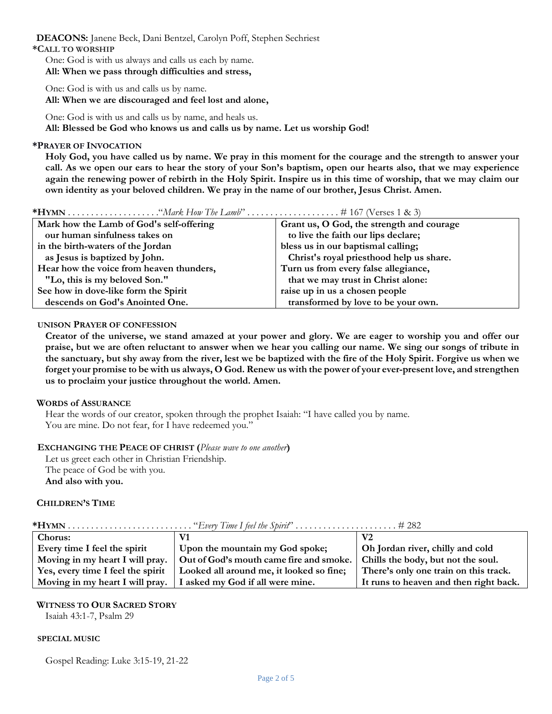**DEACONS:** Janene Beck, Dani Bentzel, Carolyn Poff, Stephen Sechriest **\*CALL TO WORSHIP**

One: God is with us always and calls us each by name. **All: When we pass through difficulties and stress,**

One: God is with us and calls us by name. **All: When we are discouraged and feel lost and alone,**

One: God is with us and calls us by name, and heals us. **All: Blessed be God who knows us and calls us by name. Let us worship God!**

### **\*PRAYER OF INVOCATION**

**Holy God, you have called us by name. We pray in this moment for the courage and the strength to answer your call. As we open our ears to hear the story of your Son's baptism, open our hearts also, that we may experience again the renewing power of rebirth in the Holy Spirit. Inspire us in this time of worship, that we may claim our own identity as your beloved children. We pray in the name of our brother, Jesus Christ. Amen.**

| Mark how the Lamb of God's self-offering | Grant us, O God, the strength and courage |
|------------------------------------------|-------------------------------------------|
| our human sinfulness takes on            | to live the faith our lips declare;       |
| in the birth-waters of the Jordan        | bless us in our baptismal calling;        |
| as Jesus is baptized by John.            | Christ's royal priesthood help us share.  |
| Hear how the voice from heaven thunders, | Turn us from every false allegiance,      |
| "Lo, this is my beloved Son."            | that we may trust in Christ alone:        |
| See how in dove-like form the Spirit     | raise up in us a chosen people            |
| descends on God's Anointed One.          | transformed by love to be your own.       |

#### **UNISON PRAYER OF CONFESSION**

**Creator of the universe, we stand amazed at your power and glory. We are eager to worship you and offer our praise, but we are often reluctant to answer when we hear you calling our name. We sing our songs of tribute in the sanctuary, but shy away from the river, lest we be baptized with the fire of the Holy Spirit. Forgive us when we forget your promise to be with us always, O God. Renew us with the power of your ever-present love, and strengthen us to proclaim your justice throughout the world. Amen.**

#### **WORDS of ASSURANCE**

Hear the words of our creator, spoken through the prophet Isaiah: "I have called you by name. You are mine. Do not fear, for I have redeemed you."

#### **EXCHANGING THE PEACE OF CHRIST (***Please wave to one another***)**

Let us greet each other in Christian Friendship. The peace of God be with you. **And also with you.**

## **CHILDREN'S TIME**

| <b>Chorus:</b>                    |                                                                                                                | V2                                     |
|-----------------------------------|----------------------------------------------------------------------------------------------------------------|----------------------------------------|
| Every time I feel the spirit      | Upon the mountain my God spoke;                                                                                | Oh Jordan river, chilly and cold       |
|                                   | Moving in my heart I will pray.   Out of God's mouth came fire and smoke.   Chills the body, but not the soul. |                                        |
| Yes, every time I feel the spirit | Looked all around me, it looked so fine;                                                                       | There's only one train on this track.  |
|                                   | Moving in my heart I will pray. I asked my God if all were mine.                                               | It runs to heaven and then right back. |

#### **WITNESS TO OUR SACRED STORY**

Isaiah 43:1-7, Psalm 29

#### **SPECIAL MUSIC**

Gospel Reading: Luke 3:15-19, 21-22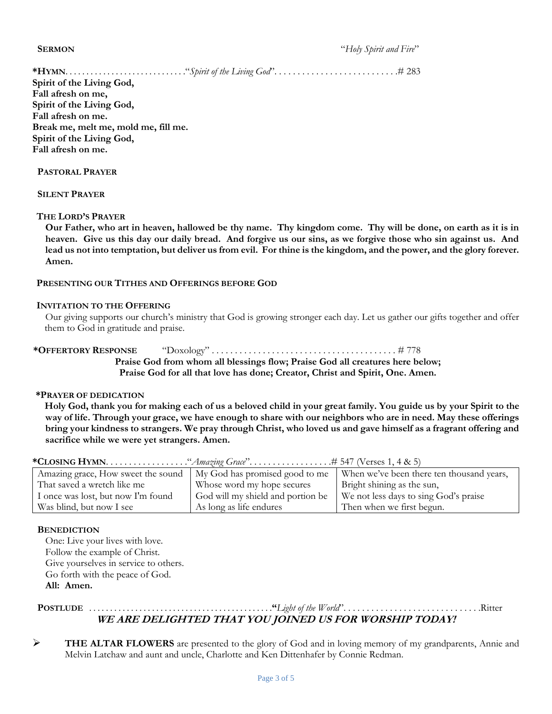**SERMON** "*Holy Spirit and Fire*"

**\*HYMN**. . . . . . . . . . . . . . . . . . . . . . . . . . . . ."*Spirit of the Living God*". . . . . . . . . . . . . . . . . . . . . . . . . . .# 283

**Spirit of the Living God, Fall afresh on me, Spirit of the Living God, Fall afresh on me. Break me, melt me, mold me, fill me. Spirit of the Living God, Fall afresh on me.**

## **PASTORAL PRAYER**

 **SILENT PRAYER**

### **THE LORD'S PRAYER**

**Our Father, who art in heaven, hallowed be thy name. Thy kingdom come. Thy will be done, on earth as it is in heaven. Give us this day our daily bread. And forgive us our sins, as we forgive those who sin against us. And lead us not into temptation, but deliver us from evil. For thine is the kingdom, and the power, and the glory forever. Amen.**

## **PRESENTING OUR TITHES AND OFFERINGS BEFORE GOD**

### **INVITATION TO THE OFFERING**

Our giving supports our church's ministry that God is growing stronger each day. Let us gather our gifts together and offer them to God in gratitude and praise.

**\*OFFERTORY RESPONSE** "Doxology" . . . . . . . . . . . . . . . . . . . . . . . . . . . . . . . . . . . . . . . . # 778 **Praise God from whom all blessings flow; Praise God all creatures here below; Praise God for all that love has done; Creator, Christ and Spirit, One. Amen.**

#### **\*PRAYER OF DEDICATION**

**Holy God, thank you for making each of us a beloved child in your great family. You guide us by your Spirit to the way of life. Through your grace, we have enough to share with our neighbors who are in need. May these offerings bring your kindness to strangers. We pray through Christ, who loved us and gave himself as a fragrant offering and sacrifice while we were yet strangers. Amen.**

| Amazing grace, How sweet the sound | My God has promised good to me    | When we've been there ten thousand years, |  |
|------------------------------------|-----------------------------------|-------------------------------------------|--|
| That saved a wretch like me        | Whose word my hope secures        | Bright shining as the sun,                |  |
| I once was lost, but now I'm found | God will my shield and portion be | We not less days to sing God's praise     |  |
| Was blind, but now I see           | As long as life endures           | Then when we first begun.                 |  |

**\*CLOSING HYMN**. . . . . . . . . . . . . . . . . ."*Amazing Grace*". . . . . . . . . . . . . . . . . .# 547 (Verses 1, 4 & 5)

### **BENEDICTION**

One: Live your lives with love. Follow the example of Christ. Give yourselves in service to others. Go forth with the peace of God. **All: Amen.**

# **POSTLUDE** . . . . . . . . . . . . . . . . . . . . . . . . . . . . . . . . . . . . . . . . . . . .**"***Light of the World*". . . . . . . . . . . . . . . . . . . . . . . . . . . . . .Ritter **WE ARE DELIGHTED THAT YOU JOINED US FOR WORSHIP TODAY!**

➢ **THE ALTAR FLOWERS** are presented to the glory of God and in loving memory of my grandparents, Annie and Melvin Latchaw and aunt and uncle, Charlotte and Ken Dittenhafer by Connie Redman.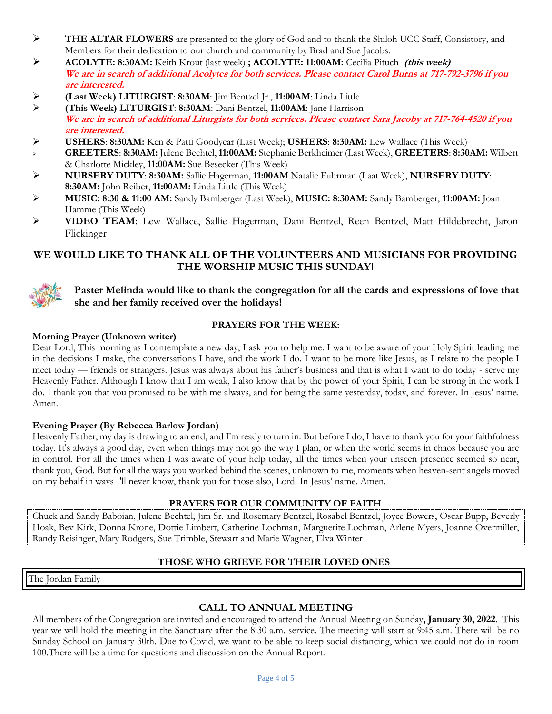- ➢ **THE ALTAR FLOWERS** are presented to the glory of God and to thank the Shiloh UCC Staff, Consistory, and Members for their dedication to our church and community by Brad and Sue Jacobs.
- ➢ **ACOLYTE: 8:30AM:** Keith Krout (last week) **; ACOLYTE: 11:00AM:** Cecilia Pituch **(this week) We are in search of additional Acolytes for both services. Please contact Carol Burns at 717-792-3796 if you are interested.**
- ➢ **(Last Week) LITURGIST**: **8:30AM**: Jim Bentzel Jr., **11:00AM**: Linda Little
- ➢ **(This Week) LITURGIST**: **8:30AM**: Dani Bentzel, **11:00AM**: Jane Harrison **We are in search of additional Liturgists for both services. Please contact Sara Jacoby at 717-764-4520 if you are interested.**
- ➢ **USHERS**: **8:30AM:** Ken & Patti Goodyear (Last Week); **USHERS**: **8:30AM:** Lew Wallace (This Week)
- ➢ **GREETERS**: **8:30AM:** Julene Bechtel, **11:00AM:** Stephanie Berkheimer (Last Week), **GREETERS**: **8:30AM:** Wilbert & Charlotte Mickley, **11:00AM:** Sue Besecker (This Week)
- ➢ **NURSERY DUTY**: **8:30AM:** Sallie Hagerman, **11:00AM** Natalie Fuhrman (Laat Week), **NURSERY DUTY**: **8:30AM:** John Reiber, **11:00AM:** Linda Little (This Week)
- ➢ **MUSIC: 8:30 & 11:00 AM:** Sandy Bamberger (Last Week), **MUSIC: 8:30AM:** Sandy Bamberger, **11:00AM:** Joan Hamme (This Week)
- ➢ **VIDEO TEAM**: Lew Wallace, Sallie Hagerman, Dani Bentzel, Reen Bentzel, Matt Hildebrecht, Jaron Flickinger

# **WE WOULD LIKE TO THANK ALL OF THE VOLUNTEERS AND MUSICIANS FOR PROVIDING THE WORSHIP MUSIC THIS SUNDAY!**



**Paster Melinda would like to thank the congregation for all the cards and expressions of love that she and her family received over the holidays!**

## **PRAYERS FOR THE WEEK:**

## **Morning Prayer (Unknown writer)**

Dear Lord, This morning as I contemplate a new day, I ask you to help me. I want to be aware of your Holy Spirit leading me in the decisions I make, the conversations I have, and the work I do. I want to be more like Jesus, as I relate to the people I meet today — friends or strangers. Jesus was always about his father's business and that is what I want to do today - serve my Heavenly Father. Although I know that I am weak, I also know that by the power of your Spirit, I can be strong in the work I do. I thank you that you promised to be with me always, and for being the same yesterday, today, and forever. In Jesus' name. Amen.

## **Evening Prayer (By Rebecca Barlow Jordan)**

Heavenly Father, my day is drawing to an end, and I'm ready to turn in. But before I do, I have to thank you for your faithfulness today. It's always a good day, even when things may not go the way I plan, or when the world seems in chaos because you are in control. For all the times when I was aware of your help today, all the times when your unseen presence seemed so near, thank you, God. But for all the ways you worked behind the scenes, unknown to me, moments when heaven-sent angels moved on my behalf in ways I'll never know, thank you for those also, Lord. In Jesus' name. Amen.

## **PRAYERS FOR OUR COMMUNITY OF FAITH**

Chuck and Sandy Baboian, Julene Bechtel, Jim Sr. and Rosemary Bentzel, Rosabel Bentzel, Joyce Bowers, Oscar Bupp, Beverly Hoak, Bev Kirk, Donna Krone, Dottie Limbert, Catherine Lochman, Marguerite Lochman, Arlene Myers, Joanne Overmiller, Randy Reisinger, Mary Rodgers, Sue Trimble, Stewart and Marie Wagner, Elva Winter

## **THOSE WHO GRIEVE FOR THEIR LOVED ONES**

The Jordan Family

## **CALL TO ANNUAL MEETING**

All members of the Congregation are invited and encouraged to attend the Annual Meeting on Sunday**, January 30, 2022**. This year we will hold the meeting in the Sanctuary after the 8:30 a.m. service. The meeting will start at 9:45 a.m. There will be no Sunday School on January 30th. Due to Covid, we want to be able to keep social distancing, which we could not do in room 100.There will be a time for questions and discussion on the Annual Report.